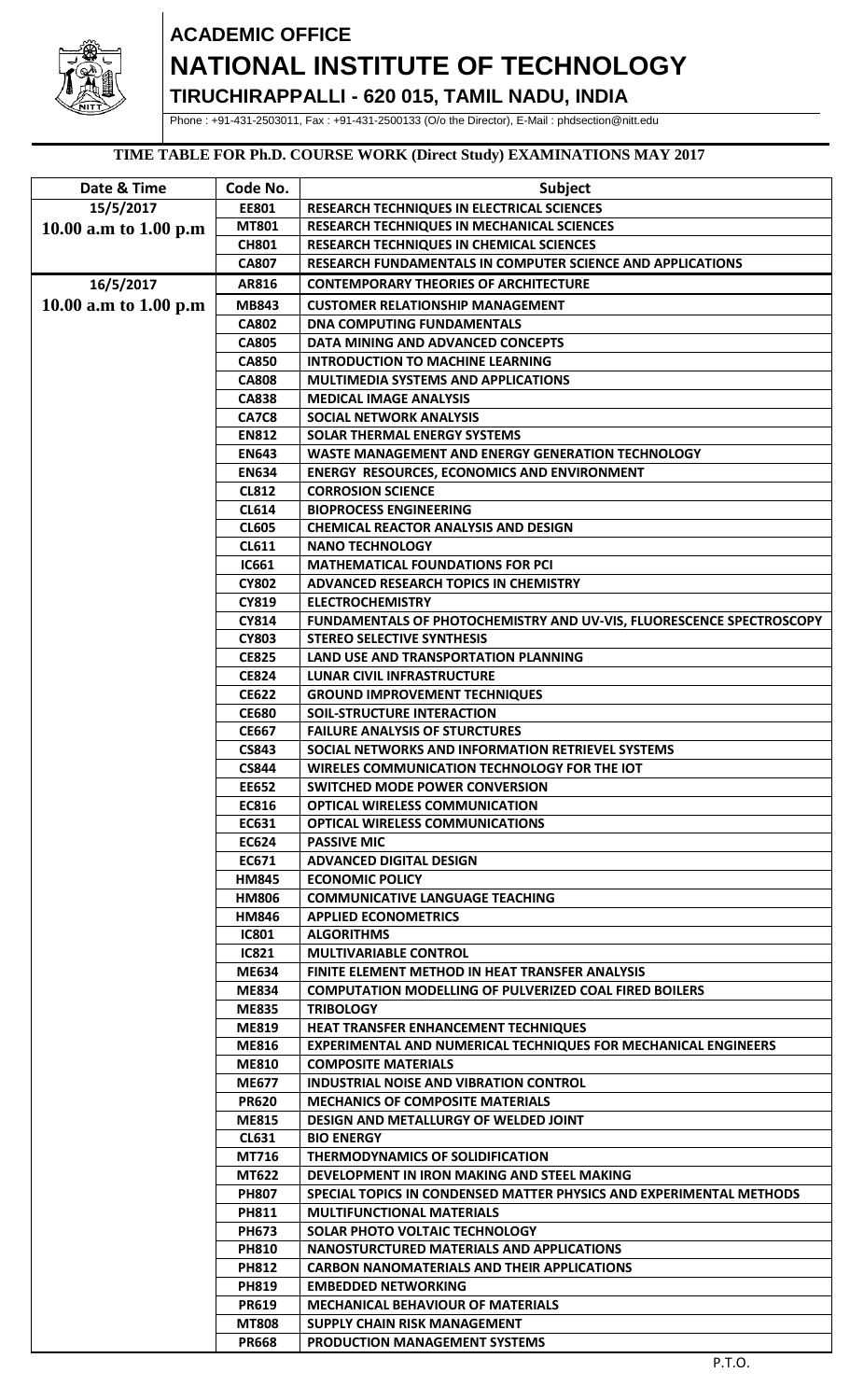

# **ACADEMIC OFFICE NATIONAL INSTITUTE OF TECHNOLOGY**

**TIRUCHIRAPPALLI - 620 015, TAMIL NADU, INDIA**

Phone : +91-431-2503011, Fax : +91-431-2500133 (O/o the Director), E-Mail : phdsection@nitt.edu

### **TIME TABLE FOR Ph.D. COURSE WORK (Direct Study) EXAMINATIONS MAY 2017**

| Date & Time           | Code No.                     | <b>Subject</b>                                                        |
|-----------------------|------------------------------|-----------------------------------------------------------------------|
| 15/5/2017             | EE801                        | RESEARCH TECHNIQUES IN ELECTRICAL SCIENCES                            |
|                       | <b>MT801</b>                 | RESEARCH TECHNIQUES IN MECHANICAL SCIENCES                            |
| 10.00 a.m to 1.00 p.m | <b>CH801</b>                 | RESEARCH TECHNIQUES IN CHEMICAL SCIENCES                              |
|                       | <b>CA807</b>                 | RESEARCH FUNDAMENTALS IN COMPUTER SCIENCE AND APPLICATIONS            |
|                       | AR816                        | <b>CONTEMPORARY THEORIES OF ARCHITECTURE</b>                          |
| 16/5/2017             |                              |                                                                       |
| 10.00 a.m to 1.00 p.m | <b>MB843</b>                 | <b>CUSTOMER RELATIONSHIP MANAGEMENT</b>                               |
|                       | <b>CA802</b>                 | <b>DNA COMPUTING FUNDAMENTALS</b>                                     |
|                       | <b>CA805</b>                 | DATA MINING AND ADVANCED CONCEPTS                                     |
|                       | <b>CA850</b>                 | <b>INTRODUCTION TO MACHINE LEARNING</b>                               |
|                       | <b>CA808</b>                 | <b>MULTIMEDIA SYSTEMS AND APPLICATIONS</b>                            |
|                       | <b>CA838</b>                 | <b>MEDICAL IMAGE ANALYSIS</b>                                         |
|                       | <b>CA7C8</b>                 | <b>SOCIAL NETWORK ANALYSIS</b>                                        |
|                       | <b>EN812</b>                 | <b>SOLAR THERMAL ENERGY SYSTEMS</b>                                   |
|                       | <b>EN643</b>                 | WASTE MANAGEMENT AND ENERGY GENERATION TECHNOLOGY                     |
|                       | <b>EN634</b>                 | <b>ENERGY RESOURCES, ECONOMICS AND ENVIRONMENT</b>                    |
|                       | <b>CL812</b>                 | <b>CORROSION SCIENCE</b>                                              |
|                       | <b>CL614</b>                 | <b>BIOPROCESS ENGINEERING</b>                                         |
|                       | <b>CL605</b>                 | <b>CHEMICAL REACTOR ANALYSIS AND DESIGN</b>                           |
|                       | <b>CL611</b>                 | <b>NANO TECHNOLOGY</b>                                                |
|                       | <b>IC661</b>                 | <b>MATHEMATICAL FOUNDATIONS FOR PCI</b>                               |
|                       | <b>CY802</b>                 | <b>ADVANCED RESEARCH TOPICS IN CHEMISTRY</b>                          |
|                       | CY819                        | <b>ELECTROCHEMISTRY</b>                                               |
|                       | CY814                        | FUNDAMENTALS OF PHOTOCHEMISTRY AND UV-VIS, FLUORESCENCE SPECTROSCOPY  |
|                       | <b>CY803</b>                 | <b>STEREO SELECTIVE SYNTHESIS</b>                                     |
|                       | <b>CE825</b><br><b>CE824</b> | LAND USE AND TRANSPORTATION PLANNING<br>LUNAR CIVIL INFRASTRUCTURE    |
|                       | <b>CE622</b>                 | <b>GROUND IMPROVEMENT TECHNIQUES</b>                                  |
|                       | <b>CE680</b>                 | <b>SOIL-STRUCTURE INTERACTION</b>                                     |
|                       | <b>CE667</b>                 | <b>FAILURE ANALYSIS OF STURCTURES</b>                                 |
|                       | <b>CS843</b>                 | SOCIAL NETWORKS AND INFORMATION RETRIEVEL SYSTEMS                     |
|                       | <b>CS844</b>                 | WIRELES COMMUNICATION TECHNOLOGY FOR THE IOT                          |
|                       | <b>EE652</b>                 | <b>SWITCHED MODE POWER CONVERSION</b>                                 |
|                       | EC816                        | <b>OPTICAL WIRELESS COMMUNICATION</b>                                 |
|                       | EC631                        | <b>OPTICAL WIRELESS COMMUNICATIONS</b>                                |
|                       | EC624                        | <b>PASSIVE MIC</b>                                                    |
|                       | <b>EC671</b>                 | <b>ADVANCED DIGITAL DESIGN</b>                                        |
|                       | <b>HM845</b>                 | <b>ECONOMIC POLICY</b>                                                |
|                       | <b>HM806</b>                 | <b>COMMUNICATIVE LANGUAGE TEACHING</b>                                |
|                       | <b>HM846</b>                 | <b>APPLIED ECONOMETRICS</b>                                           |
|                       | <b>IC801</b>                 | <b>ALGORITHMS</b>                                                     |
|                       | <b>IC821</b>                 | <b>MULTIVARIABLE CONTROL</b>                                          |
|                       | <b>ME634</b>                 | FINITE ELEMENT METHOD IN HEAT TRANSFER ANALYSIS                       |
|                       | <b>ME834</b>                 | <b>COMPUTATION MODELLING OF PULVERIZED COAL FIRED BOILERS</b>         |
|                       | <b>ME835</b>                 | <b>TRIBOLOGY</b>                                                      |
|                       | <b>ME819</b>                 | <b>HEAT TRANSFER ENHANCEMENT TECHNIQUES</b>                           |
|                       | ME816                        | <b>EXPERIMENTAL AND NUMERICAL TECHNIQUES FOR MECHANICAL ENGINEERS</b> |
|                       | <b>ME810</b>                 | <b>COMPOSITE MATERIALS</b>                                            |
|                       | <b>ME677</b>                 | <b>INDUSTRIAL NOISE AND VIBRATION CONTROL</b>                         |
|                       | <b>PR620</b>                 | <b>MECHANICS OF COMPOSITE MATERIALS</b>                               |
|                       | <b>ME815</b>                 | DESIGN AND METALLURGY OF WELDED JOINT                                 |
|                       | <b>CL631</b>                 | <b>BIO ENERGY</b>                                                     |
|                       | MT716                        | THERMODYNAMICS OF SOLIDIFICATION                                      |
|                       | <b>MT622</b>                 | DEVELOPMENT IN IRON MAKING AND STEEL MAKING                           |
|                       | <b>PH807</b>                 | SPECIAL TOPICS IN CONDENSED MATTER PHYSICS AND EXPERIMENTAL METHODS   |
|                       | <b>PH811</b>                 | <b>MULTIFUNCTIONAL MATERIALS</b>                                      |
|                       | <b>PH673</b>                 | <b>SOLAR PHOTO VOLTAIC TECHNOLOGY</b>                                 |
|                       | <b>PH810</b>                 | NANOSTURCTURED MATERIALS AND APPLICATIONS                             |
|                       | <b>PH812</b>                 | <b>CARBON NANOMATERIALS AND THEIR APPLICATIONS</b>                    |
|                       | <b>PH819</b>                 | <b>EMBEDDED NETWORKING</b>                                            |
|                       | <b>PR619</b>                 | <b>MECHANICAL BEHAVIOUR OF MATERIALS</b>                              |
|                       | <b>MT808</b>                 | <b>SUPPLY CHAIN RISK MANAGEMENT</b>                                   |
|                       | <b>PR668</b>                 | <b>PRODUCTION MANAGEMENT SYSTEMS</b>                                  |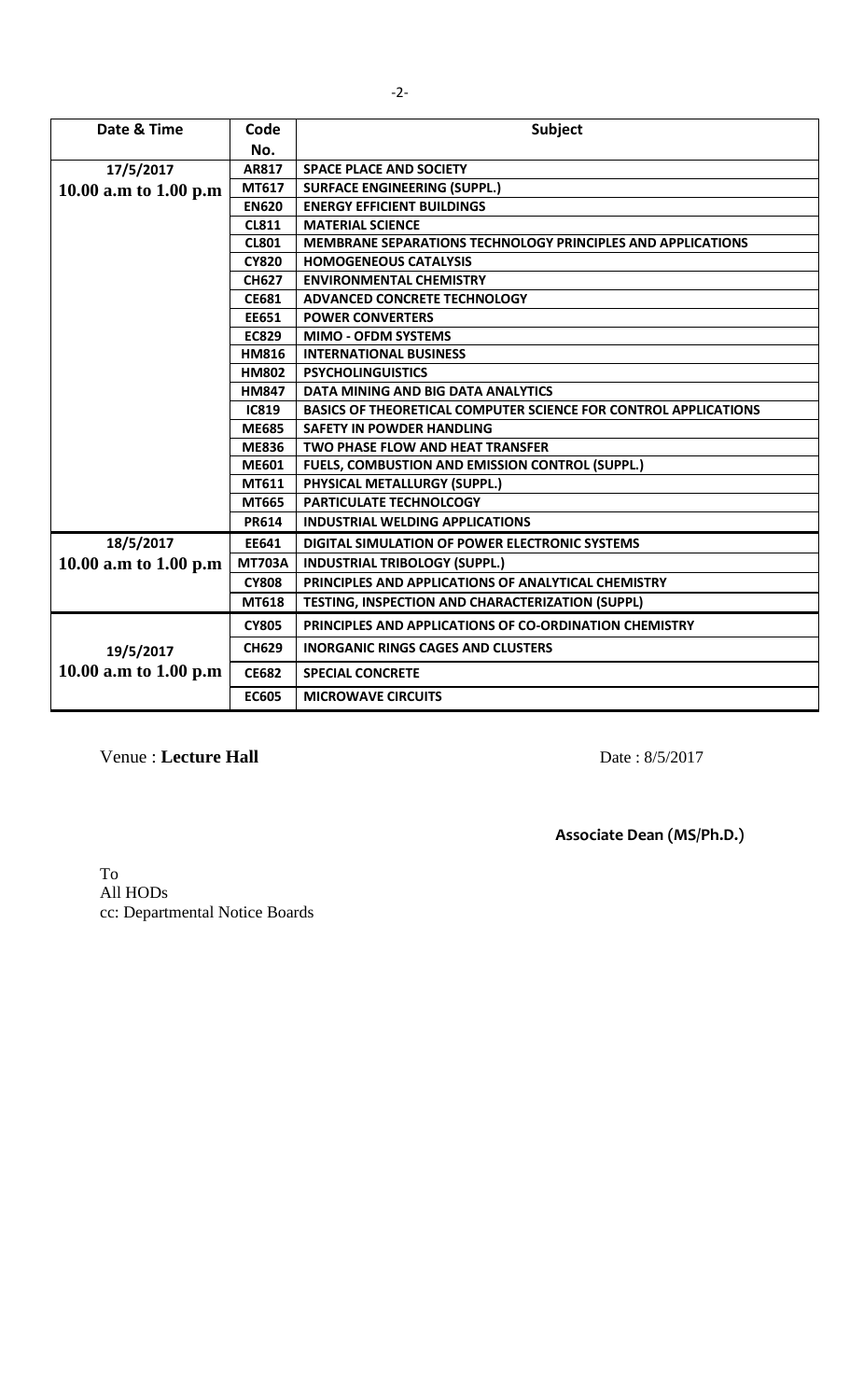| Date & Time           | Code          | Subject                                                                |
|-----------------------|---------------|------------------------------------------------------------------------|
|                       | No.           |                                                                        |
| 17/5/2017             | AR817         | <b>SPACE PLACE AND SOCIETY</b>                                         |
| 10.00 a.m to 1.00 p.m | MT617         | <b>SURFACE ENGINEERING (SUPPL.)</b>                                    |
|                       | <b>EN620</b>  | <b>ENERGY EFFICIENT BUILDINGS</b>                                      |
|                       | <b>CL811</b>  | <b>MATERIAL SCIENCE</b>                                                |
|                       | <b>CL801</b>  | MEMBRANE SEPARATIONS TECHNOLOGY PRINCIPLES AND APPLICATIONS            |
|                       | <b>CY820</b>  | <b>HOMOGENEOUS CATALYSIS</b>                                           |
|                       | <b>CH627</b>  | <b>ENVIRONMENTAL CHEMISTRY</b>                                         |
|                       | <b>CE681</b>  | ADVANCED CONCRETE TECHNOLOGY                                           |
|                       | EE651         | <b>POWER CONVERTERS</b>                                                |
|                       | <b>EC829</b>  | <b>MIMO - OFDM SYSTEMS</b>                                             |
|                       | <b>HM816</b>  | <b>INTERNATIONAL BUSINESS</b>                                          |
|                       | <b>HM802</b>  | <b>PSYCHOLINGUISTICS</b>                                               |
|                       | <b>HM847</b>  | DATA MINING AND BIG DATA ANALYTICS                                     |
|                       | <b>IC819</b>  | <b>BASICS OF THEORETICAL COMPUTER SCIENCE FOR CONTROL APPLICATIONS</b> |
|                       | <b>ME685</b>  | <b>SAFETY IN POWDER HANDLING</b>                                       |
|                       | <b>ME836</b>  | <b>TWO PHASE FLOW AND HEAT TRANSFER</b>                                |
|                       | <b>ME601</b>  | FUELS, COMBUSTION AND EMISSION CONTROL (SUPPL.)                        |
|                       | MT611         | PHYSICAL METALLURGY (SUPPL.)                                           |
|                       | MT665         | PARTICULATE TECHNOLCOGY                                                |
|                       | <b>PR614</b>  | <b>INDUSTRIAL WELDING APPLICATIONS</b>                                 |
| 18/5/2017             | EE641         | DIGITAL SIMULATION OF POWER ELECTRONIC SYSTEMS                         |
| 10.00 a.m to 1.00 p.m | <b>MT703A</b> | <b>INDUSTRIAL TRIBOLOGY (SUPPL.)</b>                                   |
|                       | <b>CY808</b>  | PRINCIPLES AND APPLICATIONS OF ANALYTICAL CHEMISTRY                    |
|                       | MT618         | TESTING, INSPECTION AND CHARACTERIZATION (SUPPL)                       |
|                       | <b>CY805</b>  | PRINCIPLES AND APPLICATIONS OF CO-ORDINATION CHEMISTRY                 |
| 19/5/2017             | <b>CH629</b>  | <b>INORGANIC RINGS CAGES AND CLUSTERS</b>                              |
| 10.00 a.m to 1.00 p.m | <b>CE682</b>  | <b>SPECIAL CONCRETE</b>                                                |
|                       | <b>EC605</b>  | <b>MICROWAVE CIRCUITS</b>                                              |

Venue : Lecture Hall<br>
Date : 8/5/2017

**Associate Dean (MS/Ph.D.)**

To All HODs cc: Departmental Notice Boards